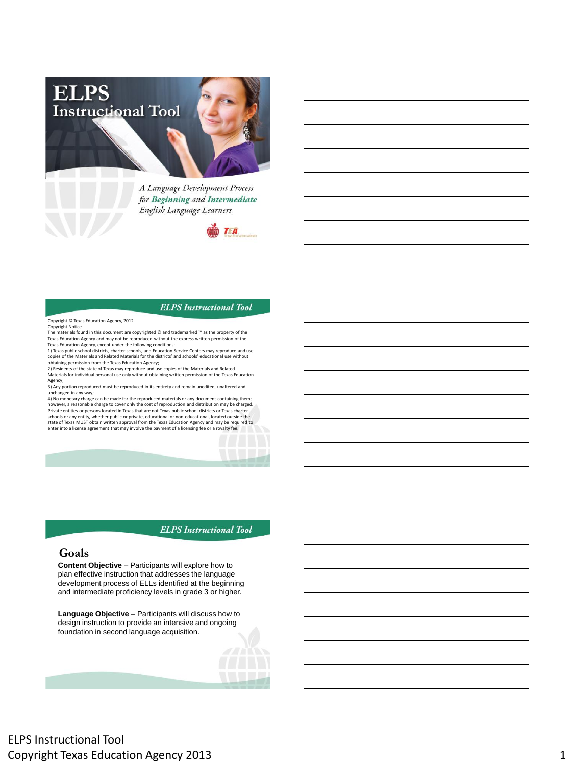

A Language Development Process for Beginning and Intermediate English Language Learners



#### **ELPS** Instructional Tool

Copyright © Texas Education Agency, 2012.

Copyright Notice The materials found in this document are copyrighted © and trademarked ™ as the property of the Texas Education Agency and may not be reproduced without the express written permission of the Texas Education Agency, except under the following conditions:

1) Texas public school districts, charter schools, and Education Service Centers may reproduce and use<br>copies of the Materials and Related Materials for the districts' and schools' educational use without<br>obtaining permiss

Materials for individual personal use only without obtaining written permission of the Texas Education Agency;

3) Any portion reproduced must be reproduced in its entirety and remain unedited, unaltered and<br>unchanged in any way;<br>4) No monetary charge can be made for the reproduced materials or any document containing them;<br>4) No mo state of Texas MUST obtain written approval from the Texas Education Agency and may be required to enter into a license agreement that may involve the payment of a licensing fee or a royalty fee.

**ELPS** Instructional Tool

## **Goals**

**Content Objective** – Participants will explore how to plan effective instruction that addresses the language development process of ELLs identified at the beginning and intermediate proficiency levels in grade 3 or higher.

**Language Objective** – Participants will discuss how to design instruction to provide an intensive and ongoing foundation in second language acquisition.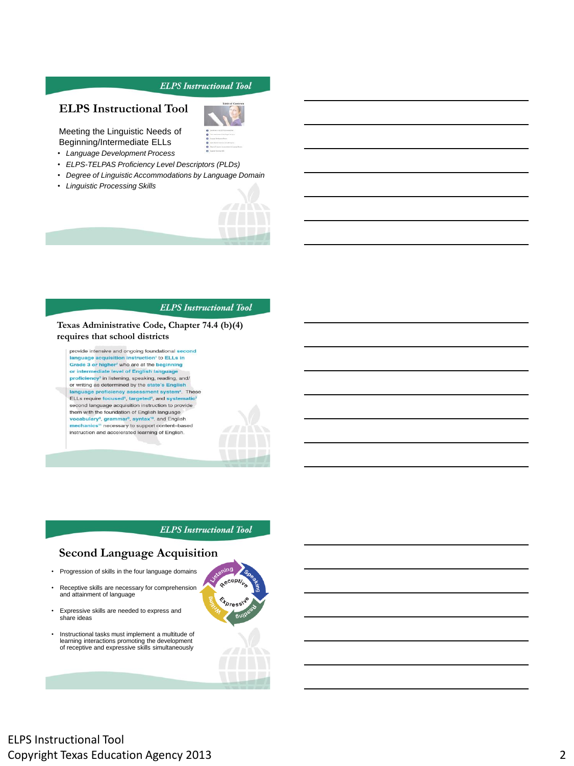# **ELPS Instructional Tool**

Meeting the Linguistic Needs of Beginning/Intermediate ELLs

- *Language Development Process*
- *ELPS-TELPAS Proficiency Level Descriptors (PLDs)*
- *Degree of Linguistic Accommodations by Language Domain*
- *Linguistic Processing Skills*



#### **ELPS** Instructional Tool

**Texas Administrative Code, Chapter 74.4 (b)(4) requires that school districts**

provide intensive and ongoing foundational second language acquisition instruction' to ELLs in<br>Grade 3 or higher<sup>2</sup> who are at the beginning tion' to ELLs in or intermediate level of English language proficiency<sup>3</sup> in listening, speaking, reading, and/ or writing as determined by the state's English uage proficiency assessment system<sup>4</sup>. These lan ELLs require focused<sup>5</sup>, targeted<sup>6</sup>, and syste second language acquisition instruction to provide<br>them with the foundation of English language vocabulary<sup>8</sup>, grammar<sup>9</sup>, syntax<sup>10</sup>, and English<br>mechanics<sup>11</sup> necessary to support content-based

instruction and accelerated learning of English.

**ELPS** Instructional Tool

## **Second Language Acquisition**

- Progression of skills in the four language domains
- Receptive skills are necessary for comprehension and attainment of language
- Expressive skills are needed to express and share ideas
- Instructional tasks must implement a multitude of learning interactions promoting the development of receptive and expressive skills simultaneously



# ELPS Instructional Tool Copyright Texas Education Agency 2013 2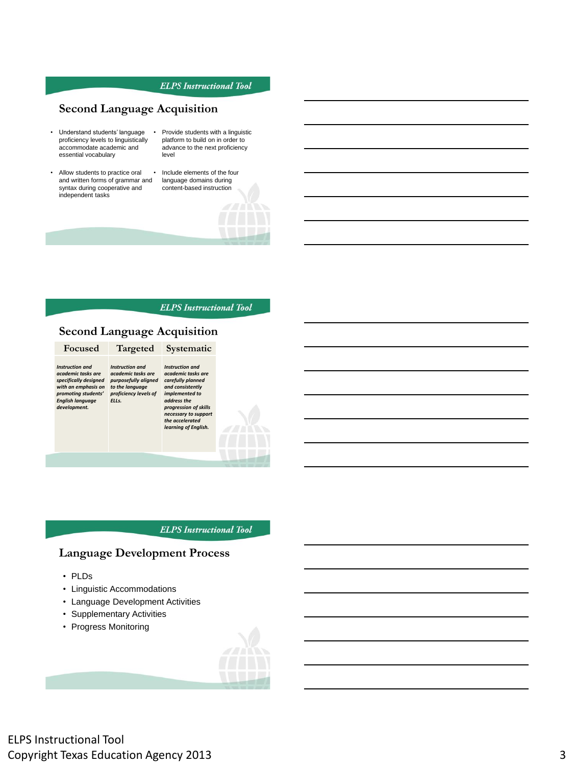# **Second Language Acquisition**

- Understand students' language proficiency levels to linguistically accommodate academic and essential vocabulary
- Allow students to practice oral and written forms of grammar and syntax during cooperative and independent tasks
- Provide students with a linguistic platform to build on in order to advance to the next proficiency level
- Include elements of the four language domains during content-based instruction

#### **ELPS** Instructional Tool

# **Second Language Acquisition**

#### **Focused Targeted Systematic**

*Instruction and academic tasks are specifically designed with an emphasis on purposefully aligned to the language promoting students' English language development.*

*Instruction and academic tasks are proficiency levels of ELLs. Instruction and academic tasks are carefully planned and consistently implemented to address the* 

*progression of skills necessary to support the accelerated learning of English.* 

**ELPS** Instructional Tool

## **Language Development Process**

- PLDs
- Linguistic Accommodations
- Language Development Activities
- Supplementary Activities
- Progress Monitoring

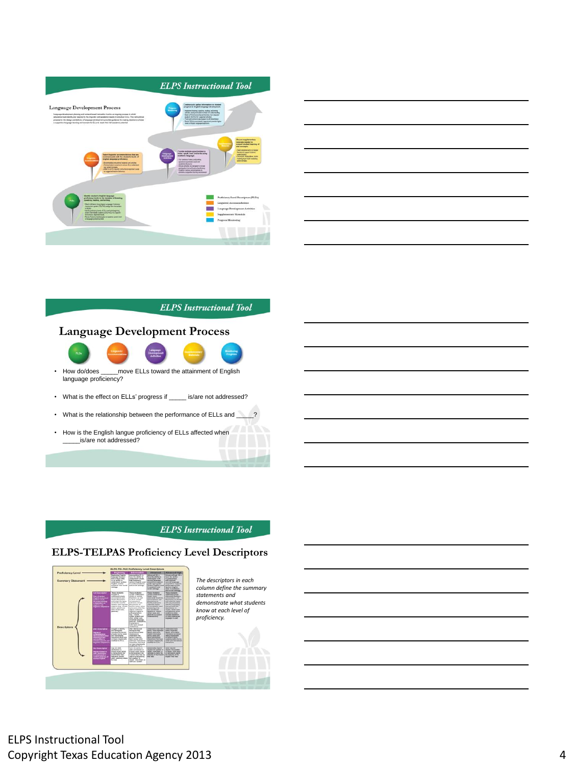

| <u> 1989 - Johann Stoff, amerikansk fotballstjer (d. 1989)</u>                                                       |  |  |
|----------------------------------------------------------------------------------------------------------------------|--|--|
|                                                                                                                      |  |  |
| <u> 1989 - Andrea Santa Andrea Andrea Andrea Andrea Andrea Andrea Andrea Andrea Andrea Andrea Andrea Andrea Andr</u> |  |  |
|                                                                                                                      |  |  |
| the control of the control of the control of the control of the control of the control of the control of the c       |  |  |
| <u> 1989 - Johann Stein, Amerikaansk politiker (</u>                                                                 |  |  |
|                                                                                                                      |  |  |

# **Language Development Process**



- How do/does \_\_\_\_\_move ELLs toward the attainment of English language proficiency?
- What is the effect on ELLs' progress if \_\_\_\_\_ is/are not addressed?
- What is the relationship between the performance of ELLs and
- How is the English langue proficiency of ELLs affected when \_\_\_\_\_is/are not addressed?

## **ELPS** Instructional Tool

## **ELPS-TELPAS Proficiency Level Descriptors**



*The descriptors in each column define the summary statements and demonstrate what students know at each level of proficiency.* 

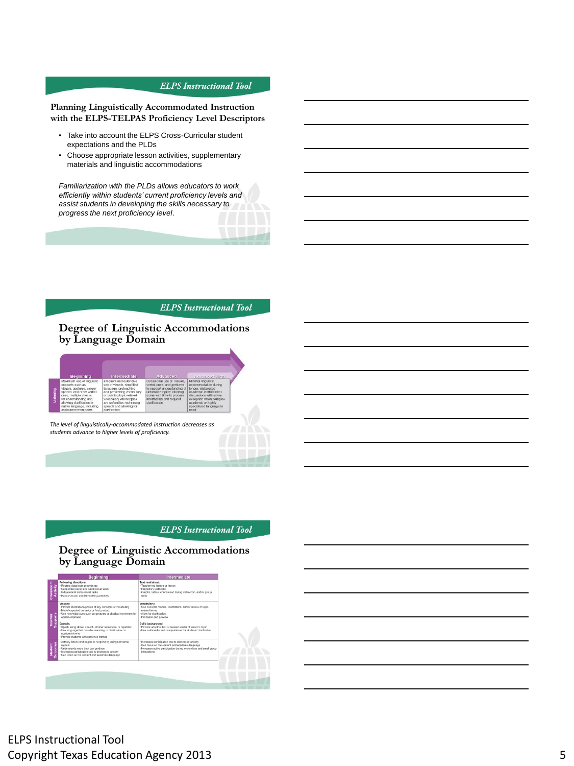### **Planning Linguistically Accommodated Instruction with the ELPS-TELPAS Proficiency Level Descriptors**

- Take into account the ELPS Cross-Curricular student expectations and the PLDs
- Choose appropriate lesson activities, supplementary materials and linguistic accommodations

*Familiarization with the PLDs allows educators to work efficiently within students' current proficiency levels and assist students in developing the skills necessary to progress the next proficiency level*.

#### **ELPS** Instructional Tool

### **Degree of Linguistic Accommodations by Language Domain**

| <b>Beginning</b> | <b>Intermediate</b>                                                                                                                                                                                                                            | Advanced                                                                                                                                                                                                                                      | Advanced Fight                                                                                                                                                                                  |                                                                                                                                                                                                        |  |
|------------------|------------------------------------------------------------------------------------------------------------------------------------------------------------------------------------------------------------------------------------------------|-----------------------------------------------------------------------------------------------------------------------------------------------------------------------------------------------------------------------------------------------|-------------------------------------------------------------------------------------------------------------------------------------------------------------------------------------------------|--------------------------------------------------------------------------------------------------------------------------------------------------------------------------------------------------------|--|
| gaing            | Maximum use of linguistic.<br>supports such as<br>visuals, gestures, slower<br>speech, and other verbal<br>cues; multiple checks.<br>for understanding and<br>allowing clarification in<br>native language, including<br>assistance from peers | Frequent and extensive.<br>use of visuals, simplified<br>language, preteaching<br>and previewing vocabulary.<br>or building topic-related<br>vocabulary when topics<br>are unfamiliar; rephrasing<br>speech and allowing for<br>clarification | Occasional use of visuals.<br>verbal cues, and gestures<br>to support understanding of<br>unfamiliar topics; allowing<br>some wait time to process.<br>information and request<br>clarification | Minimal linguistic<br>accommodation during<br>longer, elaborated<br>academic instructional<br>discussions with some<br>exception when complex<br>academic or highly<br>specialized language is<br>used |  |

*The level of linguistically-accommodated instruction decreases as students advance to higher levels of proficiency.*

### **ELPS** Instructional Tool

## **Degree of Linguistic Accommodations by Language Domain**

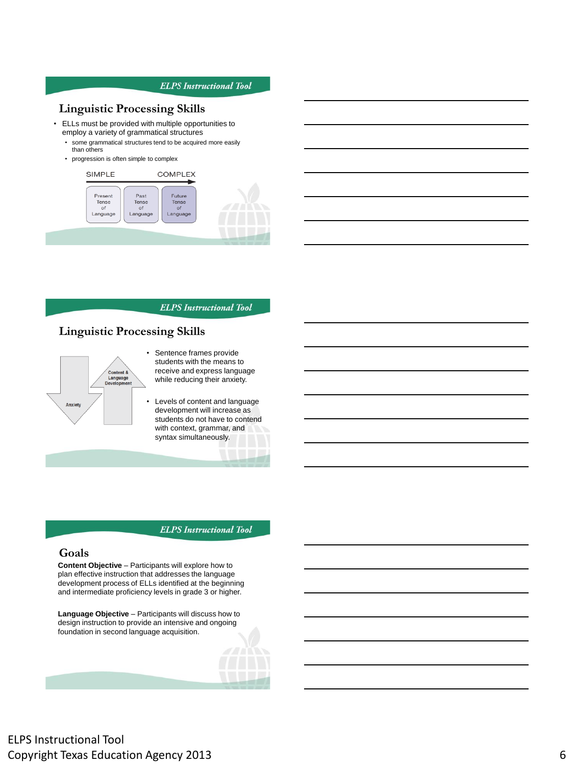## **Linguistic Processing Skills**

- ELLs must be provided with multiple opportunities to employ a variety of grammatical structures
	- some grammatical structures tend to be acquired more easily than others
	- progression is often simple to complex



**ELPS** Instructional Tool

## **Linguistic Processing Skills**



- Sentence frames provide students with the means to receive and express language while reducing their anxiety.
- Levels of content and language development will increase as students do not have to contend with context, grammar, and syntax simultaneously.

**ELPS** Instructional Tool

## **Goals**

**Content Objective** – Participants will explore how to plan effective instruction that addresses the language development process of ELLs identified at the beginning and intermediate proficiency levels in grade 3 or higher.

**Language Objective** – Participants will discuss how to design instruction to provide an intensive and ongoing foundation in second language acquisition.